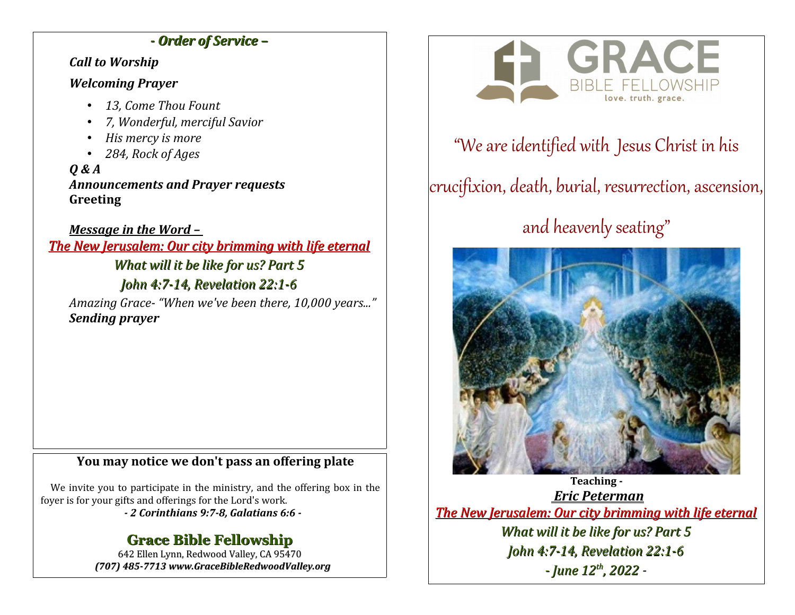## *- Order of Service –*

#### *Call to Worship*

## *Welcoming Prayer*

- *13, Come Thou Fount*
- *7, Wonderful, merciful Savior*
- *His mercy is more*
- *284, Rock of Ages*

*Q & A Announcements and Prayer requests* **Greeting**

*Message in the Word – The New Jerusalem: Our city brimming with life eternal What will it be like for us? Part 5 John 4:7-14, Revelation 22:1-6*

*Amazing Grace- "When we've been there, 10,000 years..." Sending prayer*

## **You may notice we don't pass an offering plate**

We invite you to participate in the ministry, and the offering box in the foyer is for your gifts and offerings for the Lord's work.

*- 2 Corinthians 9:7-8, Galatians 6:6 -*

## **Grace Bible Fellowship**

642 Ellen Lynn, Redwood Valley, CA 95470 *(707) 485-7713 www.GraceBibleRedwoodValley.org*



## "We are identified with Jesus Christ in his

# crucifixion, death, burial, resurrection, ascension,

# and heavenly seating"



**Teaching -**  *Eric Peterman The New Jerusalem: Our city brimming with life eternal What will it be like for us? Part 5 John 4:7-14, Revelation 22:1-6 - June 12th, 2022 -*